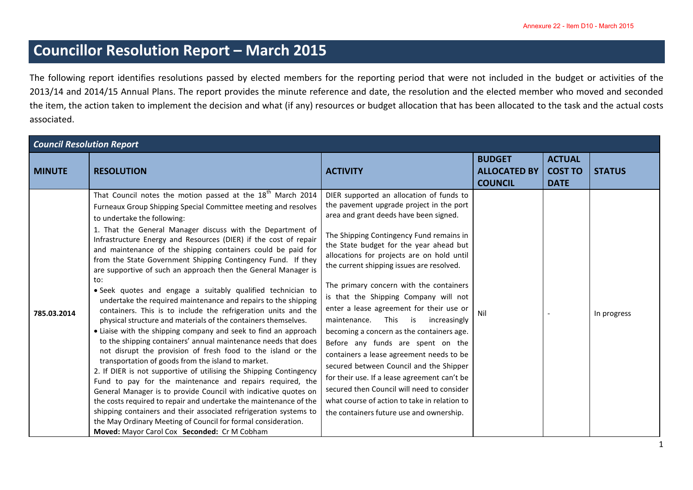## **Councillor Resolution Report – March 2015**

The following report identifies resolutions passed by elected members for the reporting period that were not included in the budget or activities of the 2013/14 and 2014/15 Annual Plans. The report provides the minute reference and date, the resolution and the elected member who moved and seconded the item, the action taken to implement the decision and what (if any) resources or budget allocation that has been allocated to the task and the actual costs associated.

| <b>Council Resolution Report</b> |                                                                                                                                                                                                                                                                                                                                                                                                                                                                                                                                                                                                                                                                                                                                                                                                                                                                                                                                                                                                                                                                                                                                                                                                                                                                                                                                                                                                                                                                                                                      |                                                                                                                                                                                                                                                                                                                                                                                                                                                                                                                                                                                                                                                                                                                                                                                                                                                             |                                                        |                                                |               |
|----------------------------------|----------------------------------------------------------------------------------------------------------------------------------------------------------------------------------------------------------------------------------------------------------------------------------------------------------------------------------------------------------------------------------------------------------------------------------------------------------------------------------------------------------------------------------------------------------------------------------------------------------------------------------------------------------------------------------------------------------------------------------------------------------------------------------------------------------------------------------------------------------------------------------------------------------------------------------------------------------------------------------------------------------------------------------------------------------------------------------------------------------------------------------------------------------------------------------------------------------------------------------------------------------------------------------------------------------------------------------------------------------------------------------------------------------------------------------------------------------------------------------------------------------------------|-------------------------------------------------------------------------------------------------------------------------------------------------------------------------------------------------------------------------------------------------------------------------------------------------------------------------------------------------------------------------------------------------------------------------------------------------------------------------------------------------------------------------------------------------------------------------------------------------------------------------------------------------------------------------------------------------------------------------------------------------------------------------------------------------------------------------------------------------------------|--------------------------------------------------------|------------------------------------------------|---------------|
| <b>MINUTE</b>                    | <b>RESOLUTION</b>                                                                                                                                                                                                                                                                                                                                                                                                                                                                                                                                                                                                                                                                                                                                                                                                                                                                                                                                                                                                                                                                                                                                                                                                                                                                                                                                                                                                                                                                                                    | <b>ACTIVITY</b>                                                                                                                                                                                                                                                                                                                                                                                                                                                                                                                                                                                                                                                                                                                                                                                                                                             | <b>BUDGET</b><br><b>ALLOCATED BY</b><br><b>COUNCIL</b> | <b>ACTUAL</b><br><b>COST TO</b><br><b>DATE</b> | <b>STATUS</b> |
| 785.03.2014                      | That Council notes the motion passed at the 18 <sup>th</sup> March 2014<br>Furneaux Group Shipping Special Committee meeting and resolves<br>to undertake the following:<br>1. That the General Manager discuss with the Department of<br>Infrastructure Energy and Resources (DIER) if the cost of repair<br>and maintenance of the shipping containers could be paid for<br>from the State Government Shipping Contingency Fund. If they<br>are supportive of such an approach then the General Manager is<br>to:<br>· Seek quotes and engage a suitably qualified technician to<br>undertake the required maintenance and repairs to the shipping<br>containers. This is to include the refrigeration units and the<br>physical structure and materials of the containers themselves.<br>• Liaise with the shipping company and seek to find an approach<br>to the shipping containers' annual maintenance needs that does<br>not disrupt the provision of fresh food to the island or the<br>transportation of goods from the island to market.<br>2. If DIER is not supportive of utilising the Shipping Contingency<br>Fund to pay for the maintenance and repairs required, the<br>General Manager is to provide Council with indicative quotes on<br>the costs required to repair and undertake the maintenance of the<br>shipping containers and their associated refrigeration systems to<br>the May Ordinary Meeting of Council for formal consideration.<br>Moved: Mayor Carol Cox Seconded: Cr M Cobham | DIER supported an allocation of funds to<br>the pavement upgrade project in the port<br>area and grant deeds have been signed.<br>The Shipping Contingency Fund remains in<br>the State budget for the year ahead but<br>allocations for projects are on hold until<br>the current shipping issues are resolved.<br>The primary concern with the containers<br>is that the Shipping Company will not<br>enter a lease agreement for their use or<br>maintenance. This is<br>increasingly<br>becoming a concern as the containers age.<br>Before any funds are spent on the<br>containers a lease agreement needs to be<br>secured between Council and the Shipper<br>for their use. If a lease agreement can't be<br>secured then Council will need to consider<br>what course of action to take in relation to<br>the containers future use and ownership. | Nil                                                    |                                                | In progress   |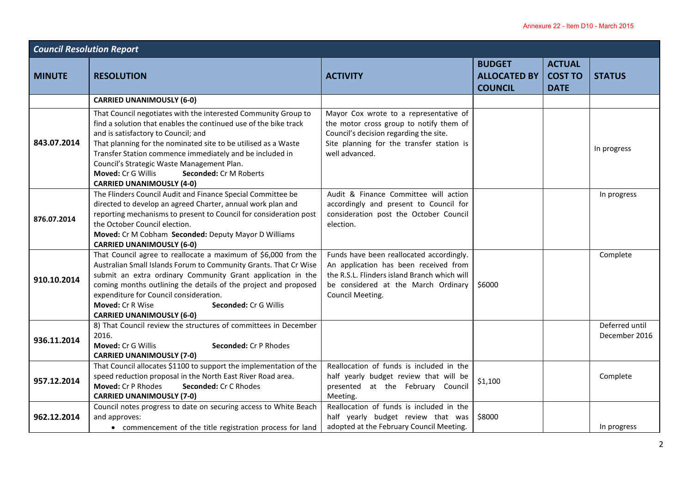| <b>Council Resolution Report</b> |                                                                                                                                                                                                                                                                                                                                                                                                                                           |                                                                                                                                                                                              |                                                        |                                                |                                 |
|----------------------------------|-------------------------------------------------------------------------------------------------------------------------------------------------------------------------------------------------------------------------------------------------------------------------------------------------------------------------------------------------------------------------------------------------------------------------------------------|----------------------------------------------------------------------------------------------------------------------------------------------------------------------------------------------|--------------------------------------------------------|------------------------------------------------|---------------------------------|
| <b>MINUTE</b>                    | <b>RESOLUTION</b>                                                                                                                                                                                                                                                                                                                                                                                                                         | <b>ACTIVITY</b>                                                                                                                                                                              | <b>BUDGET</b><br><b>ALLOCATED BY</b><br><b>COUNCIL</b> | <b>ACTUAL</b><br><b>COST TO</b><br><b>DATE</b> | <b>STATUS</b>                   |
|                                  | <b>CARRIED UNANIMOUSLY (6-0)</b>                                                                                                                                                                                                                                                                                                                                                                                                          |                                                                                                                                                                                              |                                                        |                                                |                                 |
| 843.07.2014                      | That Council negotiates with the interested Community Group to<br>find a solution that enables the continued use of the bike track<br>and is satisfactory to Council; and<br>That planning for the nominated site to be utilised as a Waste<br>Transfer Station commence immediately and be included in<br>Council's Strategic Waste Management Plan.<br>Moved: Cr G Willis<br>Seconded: Cr M Roberts<br><b>CARRIED UNANIMOUSLY (4-0)</b> | Mayor Cox wrote to a representative of<br>the motor cross group to notify them of<br>Council's decision regarding the site.<br>Site planning for the transfer station is<br>well advanced.   |                                                        |                                                | In progress                     |
| 876.07.2014                      | The Flinders Council Audit and Finance Special Committee be<br>directed to develop an agreed Charter, annual work plan and<br>reporting mechanisms to present to Council for consideration post<br>the October Council election.<br>Moved: Cr M Cobham Seconded: Deputy Mayor D Williams<br><b>CARRIED UNANIMOUSLY (6-0)</b>                                                                                                              | Audit & Finance Committee will action<br>accordingly and present to Council for<br>consideration post the October Council<br>election.                                                       |                                                        |                                                | In progress                     |
| 910.10.2014                      | That Council agree to reallocate a maximum of \$6,000 from the<br>Australian Small Islands Forum to Community Grants. That Cr Wise<br>submit an extra ordinary Community Grant application in the<br>coming months outlining the details of the project and proposed<br>expenditure for Council consideration.<br>Seconded: Cr G Willis<br>Moved: Cr R Wise<br><b>CARRIED UNANIMOUSLY (6-0)</b>                                           | Funds have been reallocated accordingly.<br>An application has been received from<br>the R.S.L. Flinders island Branch which will<br>be considered at the March Ordinary<br>Council Meeting. | \$6000                                                 |                                                | Complete                        |
| 936.11.2014                      | 8) That Council review the structures of committees in December<br>2016.<br>Moved: Cr G Willis<br>Seconded: Cr P Rhodes<br><b>CARRIED UNANIMOUSLY (7-0)</b>                                                                                                                                                                                                                                                                               |                                                                                                                                                                                              |                                                        |                                                | Deferred until<br>December 2016 |
| 957.12.2014                      | That Council allocates \$1100 to support the implementation of the<br>speed reduction proposal in the North East River Road area.<br>Moved: Cr P Rhodes<br>Seconded: Cr C Rhodes<br><b>CARRIED UNANIMOUSLY (7-0)</b>                                                                                                                                                                                                                      | Reallocation of funds is included in the<br>half yearly budget review that will be<br>presented at the February Council<br>Meeting.                                                          | \$1,100                                                |                                                | Complete                        |
| 962.12.2014                      | Council notes progress to date on securing access to White Beach<br>and approves:<br>• commencement of the title registration process for land                                                                                                                                                                                                                                                                                            | Reallocation of funds is included in the<br>half yearly budget review that was<br>adopted at the February Council Meeting.                                                                   | \$8000                                                 |                                                | In progress                     |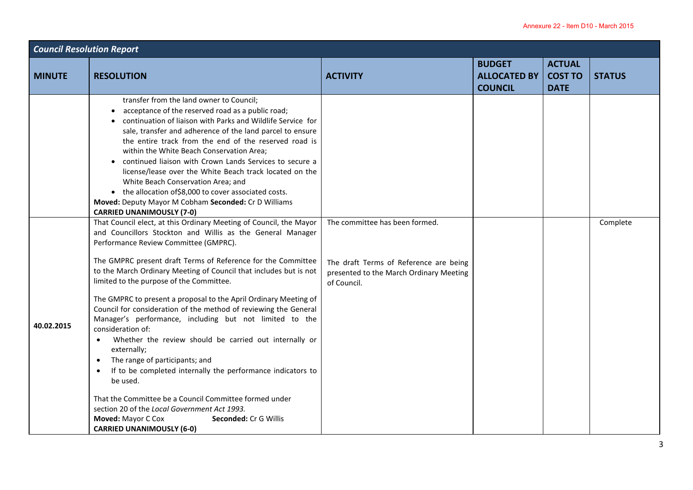| <b>Council Resolution Report</b> |                                                                                                                                                                                                                                                                                                                                                                                                                                                                                                                                                                                                                                                                                                                                                                                                                                                                                                                                                                                                                     |                                                                                                                                    |                                                        |                                                |               |  |
|----------------------------------|---------------------------------------------------------------------------------------------------------------------------------------------------------------------------------------------------------------------------------------------------------------------------------------------------------------------------------------------------------------------------------------------------------------------------------------------------------------------------------------------------------------------------------------------------------------------------------------------------------------------------------------------------------------------------------------------------------------------------------------------------------------------------------------------------------------------------------------------------------------------------------------------------------------------------------------------------------------------------------------------------------------------|------------------------------------------------------------------------------------------------------------------------------------|--------------------------------------------------------|------------------------------------------------|---------------|--|
| <b>MINUTE</b>                    | <b>RESOLUTION</b>                                                                                                                                                                                                                                                                                                                                                                                                                                                                                                                                                                                                                                                                                                                                                                                                                                                                                                                                                                                                   | <b>ACTIVITY</b>                                                                                                                    | <b>BUDGET</b><br><b>ALLOCATED BY</b><br><b>COUNCIL</b> | <b>ACTUAL</b><br><b>COST TO</b><br><b>DATE</b> | <b>STATUS</b> |  |
|                                  | transfer from the land owner to Council;<br>acceptance of the reserved road as a public road;<br>continuation of liaison with Parks and Wildlife Service for<br>sale, transfer and adherence of the land parcel to ensure<br>the entire track from the end of the reserved road is<br>within the White Beach Conservation Area:<br>continued liaison with Crown Lands Services to secure a<br>license/lease over the White Beach track located on the<br>White Beach Conservation Area; and<br>• the allocation of \$8,000 to cover associated costs.<br>Moved: Deputy Mayor M Cobham Seconded: Cr D Williams<br><b>CARRIED UNANIMOUSLY (7-0)</b>                                                                                                                                                                                                                                                                                                                                                                   |                                                                                                                                    |                                                        |                                                |               |  |
| 40.02.2015                       | That Council elect, at this Ordinary Meeting of Council, the Mayor<br>and Councillors Stockton and Willis as the General Manager<br>Performance Review Committee (GMPRC).<br>The GMPRC present draft Terms of Reference for the Committee<br>to the March Ordinary Meeting of Council that includes but is not<br>limited to the purpose of the Committee.<br>The GMPRC to present a proposal to the April Ordinary Meeting of<br>Council for consideration of the method of reviewing the General<br>Manager's performance, including but not limited to the<br>consideration of:<br>Whether the review should be carried out internally or<br>$\bullet$<br>externally;<br>The range of participants; and<br>$\bullet$<br>If to be completed internally the performance indicators to<br>$\bullet$<br>be used.<br>That the Committee be a Council Committee formed under<br>section 20 of the Local Government Act 1993.<br>Seconded: Cr G Willis<br><b>Moved: Mayor C Cox</b><br><b>CARRIED UNANIMOUSLY (6-0)</b> | The committee has been formed.<br>The draft Terms of Reference are being<br>presented to the March Ordinary Meeting<br>of Council. |                                                        |                                                | Complete      |  |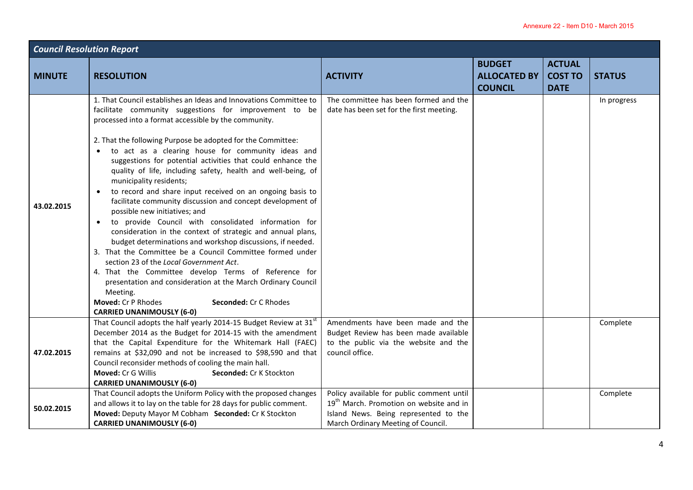| <b>Council Resolution Report</b> |                                                                                                                                                                                                                                                                                                                                                                                                                                                                                                                                                                                                                                                                                                                                                                                                                                                                                                                                                                                                                                                                                                                                                                                |                                                                                                                                                                                 |                                       |                               |               |
|----------------------------------|--------------------------------------------------------------------------------------------------------------------------------------------------------------------------------------------------------------------------------------------------------------------------------------------------------------------------------------------------------------------------------------------------------------------------------------------------------------------------------------------------------------------------------------------------------------------------------------------------------------------------------------------------------------------------------------------------------------------------------------------------------------------------------------------------------------------------------------------------------------------------------------------------------------------------------------------------------------------------------------------------------------------------------------------------------------------------------------------------------------------------------------------------------------------------------|---------------------------------------------------------------------------------------------------------------------------------------------------------------------------------|---------------------------------------|-------------------------------|---------------|
| <b>MINUTE</b>                    |                                                                                                                                                                                                                                                                                                                                                                                                                                                                                                                                                                                                                                                                                                                                                                                                                                                                                                                                                                                                                                                                                                                                                                                |                                                                                                                                                                                 | <b>BUDGET</b>                         | <b>ACTUAL</b>                 |               |
|                                  | <b>RESOLUTION</b>                                                                                                                                                                                                                                                                                                                                                                                                                                                                                                                                                                                                                                                                                                                                                                                                                                                                                                                                                                                                                                                                                                                                                              | <b>ACTIVITY</b>                                                                                                                                                                 | <b>ALLOCATED BY</b><br><b>COUNCIL</b> | <b>COST TO</b><br><b>DATE</b> | <b>STATUS</b> |
| 43.02.2015                       | 1. That Council establishes an Ideas and Innovations Committee to<br>facilitate community suggestions for improvement to be<br>processed into a format accessible by the community.<br>2. That the following Purpose be adopted for the Committee:<br>• to act as a clearing house for community ideas and<br>suggestions for potential activities that could enhance the<br>quality of life, including safety, health and well-being, of<br>municipality residents;<br>to record and share input received on an ongoing basis to<br>$\bullet$<br>facilitate community discussion and concept development of<br>possible new initiatives; and<br>to provide Council with consolidated information for<br>$\bullet$<br>consideration in the context of strategic and annual plans,<br>budget determinations and workshop discussions, if needed.<br>3. That the Committee be a Council Committee formed under<br>section 23 of the Local Government Act.<br>4. That the Committee develop Terms of Reference for<br>presentation and consideration at the March Ordinary Council<br>Meeting.<br>Moved: Cr P Rhodes<br>Seconded: Cr C Rhodes<br><b>CARRIED UNANIMOUSLY (6-0)</b> | The committee has been formed and the<br>date has been set for the first meeting.                                                                                               |                                       |                               | In progress   |
| 47.02.2015                       | That Council adopts the half yearly 2014-15 Budget Review at 31 <sup>st</sup><br>December 2014 as the Budget for 2014-15 with the amendment<br>that the Capital Expenditure for the Whitemark Hall (FAEC)<br>remains at \$32,090 and not be increased to \$98,590 and that<br>Council reconsider methods of cooling the main hall.<br>Moved: Cr G Willis<br>Seconded: Cr K Stockton<br><b>CARRIED UNANIMOUSLY (6-0)</b>                                                                                                                                                                                                                                                                                                                                                                                                                                                                                                                                                                                                                                                                                                                                                        | Amendments have been made and the<br>Budget Review has been made available<br>to the public via the website and the<br>council office.                                          |                                       |                               | Complete      |
| 50.02.2015                       | That Council adopts the Uniform Policy with the proposed changes<br>and allows it to lay on the table for 28 days for public comment.<br>Moved: Deputy Mayor M Cobham Seconded: Cr K Stockton<br><b>CARRIED UNANIMOUSLY (6-0)</b>                                                                                                                                                                                                                                                                                                                                                                                                                                                                                                                                                                                                                                                                                                                                                                                                                                                                                                                                              | Policy available for public comment until<br>19 <sup>th</sup> March. Promotion on website and in<br>Island News. Being represented to the<br>March Ordinary Meeting of Council. |                                       |                               | Complete      |